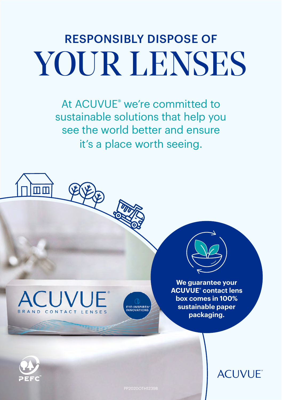## RESPONSIBLY DISPOSE OF YOUR LENSES

At ACUVUE® we're committed to sustainable solutions that help you see the world better and ensure it's a place worth seeing.